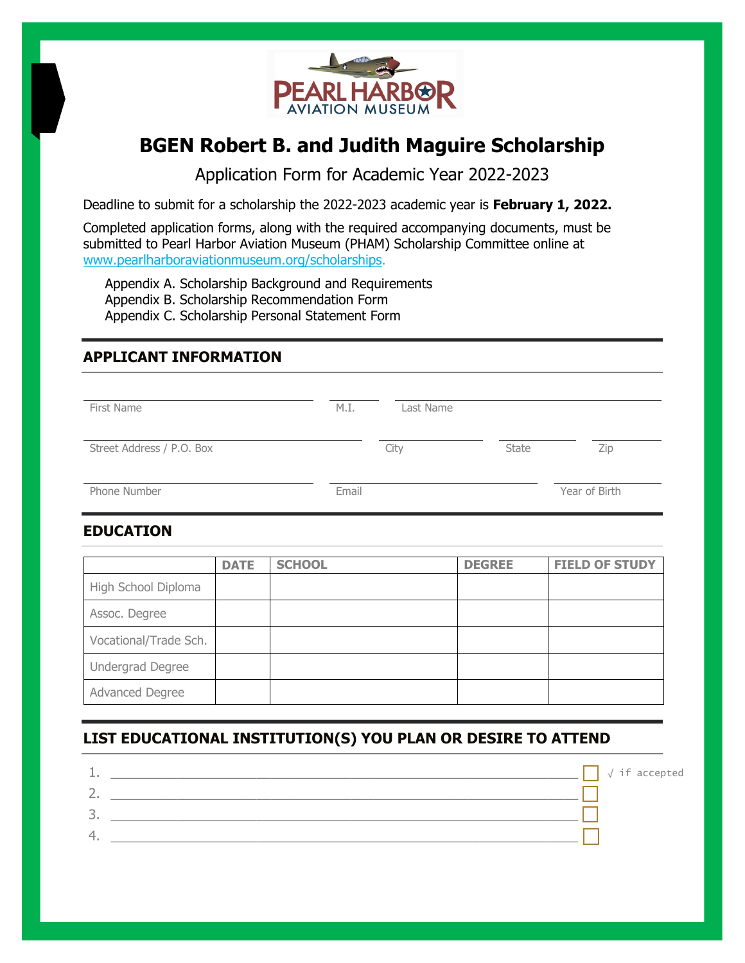

# **BGEN Robert B. and Judith Maguire Scholarship**

Application Form for Academic Year 2022-2023

Deadline to submit for a scholarship the 2022-2023 academic year is **February 1, 2022.**

Completed application forms, along with the required accompanying documents, must be submitted to Pearl Harbor Aviation Museum (PHAM) Scholarship Committee online at www.pearlharboraviationmuseum.org/scholarships.

Appendix A. Scholarship Background and Requirements Appendix B. Scholarship Recommendation Form Appendix C. Scholarship Personal Statement Form

## **APPLICANT INFORMATION**

| First Name                | M.I.  | Last Name |              |               |
|---------------------------|-------|-----------|--------------|---------------|
| Street Address / P.O. Box |       | City      | <b>State</b> | Zip           |
| Phone Number              | Email |           |              | Year of Birth |

### **EDUCATION**

|                       | <b>DATE</b> | <b>SCHOOL</b> | <b>DEGREE</b> | <b>FIELD OF STUDY</b> |
|-----------------------|-------------|---------------|---------------|-----------------------|
| High School Diploma   |             |               |               |                       |
| Assoc. Degree         |             |               |               |                       |
| Vocational/Trade Sch. |             |               |               |                       |
| Undergrad Degree      |             |               |               |                       |
| Advanced Degree       |             |               |               |                       |

# **LIST EDUCATIONAL INSTITUTION(S) YOU PLAN OR DESIRE TO ATTEND**

|   | $\sqrt{if accepted}$ |
|---|----------------------|
| - |                      |
| ◡ |                      |
| 4 |                      |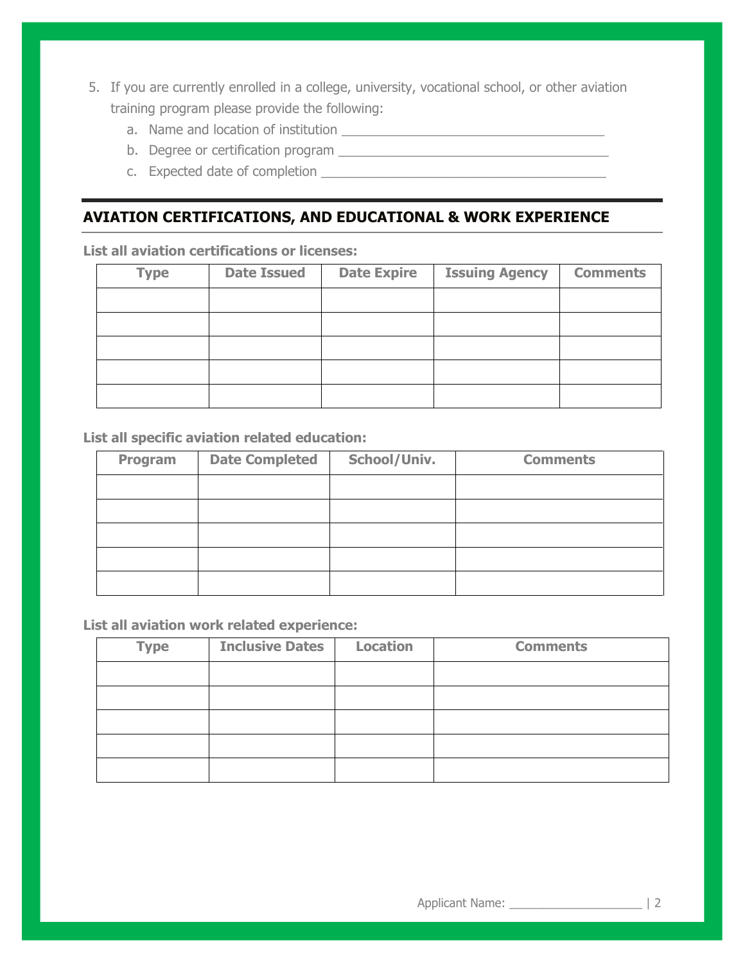- 5. If you are currently enrolled in a college, university, vocational school, or other aviation training program please provide the following:
	- a. Name and location of institution \_\_\_\_\_\_\_\_\_\_\_\_\_\_\_\_\_\_\_\_\_\_\_\_\_\_\_\_\_\_\_\_\_\_\_\_
	- b. Degree or certification program \_\_\_\_\_\_\_\_\_\_\_\_\_\_\_\_\_\_\_\_\_\_\_\_\_\_\_\_\_\_\_\_\_\_\_\_\_
	- c. Expected date of completion \_\_\_\_\_\_\_\_\_\_\_\_\_\_\_\_\_\_\_\_\_\_\_\_\_\_\_\_\_\_\_\_\_\_\_\_\_\_\_

### **AVIATION CERTIFICATIONS, AND EDUCATIONAL & WORK EXPERIENCE**

**List all aviation certifications or licenses:** 

| <b>Type</b> | <b>Date Issued</b> | <b>Date Expire</b> | <b>Issuing Agency</b> | <b>Comments</b> |
|-------------|--------------------|--------------------|-----------------------|-----------------|
|             |                    |                    |                       |                 |
|             |                    |                    |                       |                 |
|             |                    |                    |                       |                 |
|             |                    |                    |                       |                 |
|             |                    |                    |                       |                 |

#### **List all specific aviation related education:**

| Program | <b>Date Completed</b> | School/Univ. | <b>Comments</b> |
|---------|-----------------------|--------------|-----------------|
|         |                       |              |                 |
|         |                       |              |                 |
|         |                       |              |                 |
|         |                       |              |                 |
|         |                       |              |                 |

#### **List all aviation work related experience:**

| <b>Type</b> | <b>Inclusive Dates</b> | <b>Location</b> | <b>Comments</b> |
|-------------|------------------------|-----------------|-----------------|
|             |                        |                 |                 |
|             |                        |                 |                 |
|             |                        |                 |                 |
|             |                        |                 |                 |
|             |                        |                 |                 |